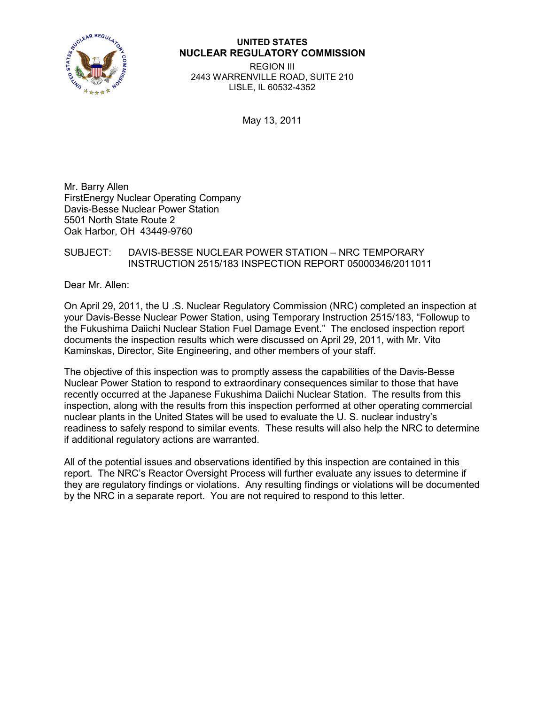

## **UNITED STATES NUCLEAR REGULATORY COMMISSION**

REGION III 2443 WARRENVILLE ROAD, SUITE 210 LISLE, IL 60532-4352

May 13, 2011

Mr. Barry Allen FirstEnergy Nuclear Operating Company Davis-Besse Nuclear Power Station 5501 North State Route 2 Oak Harbor, OH 43449-9760

## SUBJECT: DAVIS-BESSE NUCLEAR POWER STATION – NRC TEMPORARY INSTRUCTION 2515/183 INSPECTION REPORT 05000346/2011011

Dear Mr. Allen:

On April 29, 2011, the U .S. Nuclear Regulatory Commission (NRC) completed an inspection at your Davis-Besse Nuclear Power Station, using Temporary Instruction 2515/183, "Followup to the Fukushima Daiichi Nuclear Station Fuel Damage Event." The enclosed inspection report documents the inspection results which were discussed on April 29, 2011, with Mr. Vito Kaminskas, Director, Site Engineering, and other members of your staff.

The objective of this inspection was to promptly assess the capabilities of the Davis-Besse Nuclear Power Station to respond to extraordinary consequences similar to those that have recently occurred at the Japanese Fukushima Daiichi Nuclear Station. The results from this inspection, along with the results from this inspection performed at other operating commercial nuclear plants in the United States will be used to evaluate the U. S. nuclear industry's readiness to safely respond to similar events. These results will also help the NRC to determine if additional regulatory actions are warranted.

All of the potential issues and observations identified by this inspection are contained in this report. The NRC's Reactor Oversight Process will further evaluate any issues to determine if they are regulatory findings or violations. Any resulting findings or violations will be documented by the NRC in a separate report. You are not required to respond to this letter.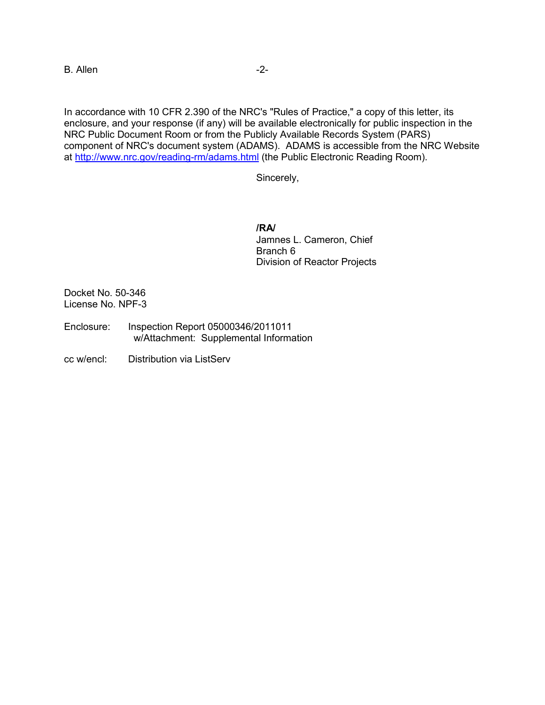B. Allen -2-

In accordance with 10 CFR 2.390 of the NRC's "Rules of Practice," a copy of this letter, its enclosure, and your response (if any) will be available electronically for public inspection in the NRC Public Document Room or from the Publicly Available Records System (PARS) component of NRC's document system (ADAMS). ADAMS is accessible from the NRC Website at [http://www.nrc.gov/reading-rm/adams.html](http://www.nrc.gov/readingrm/adams.html) (the Public Electronic Reading Room).

Sincerely,

**/RA/** Jamnes L. Cameron, Chief Branch 6 Division of Reactor Projects

Docket No. 50-346 License No. NPF-3

- Enclosure: Inspection Report 05000346/2011011 w/Attachment: Supplemental Information
- cc w/encl: Distribution via ListServ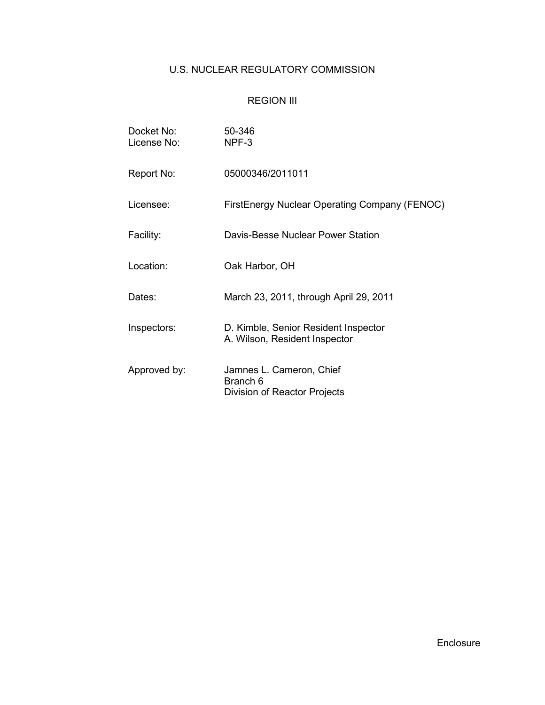# U.S. NUCLEAR REGULATORY COMMISSION

# REGION III

| Docket No:<br>License No: | 50-346<br>NPF-3                                                       |
|---------------------------|-----------------------------------------------------------------------|
| Report No:                | 05000346/2011011                                                      |
| Licensee:                 | <b>FirstEnergy Nuclear Operating Company (FENOC)</b>                  |
| Facility:                 | Davis-Besse Nuclear Power Station                                     |
| Location:                 | Oak Harbor, OH                                                        |
| Dates:                    | March 23, 2011, through April 29, 2011                                |
| Inspectors:               | D. Kimble, Senior Resident Inspector<br>A. Wilson, Resident Inspector |
| Approved by:              | Jamnes L. Cameron, Chief<br>Branch 6<br>Division of Reactor Projects  |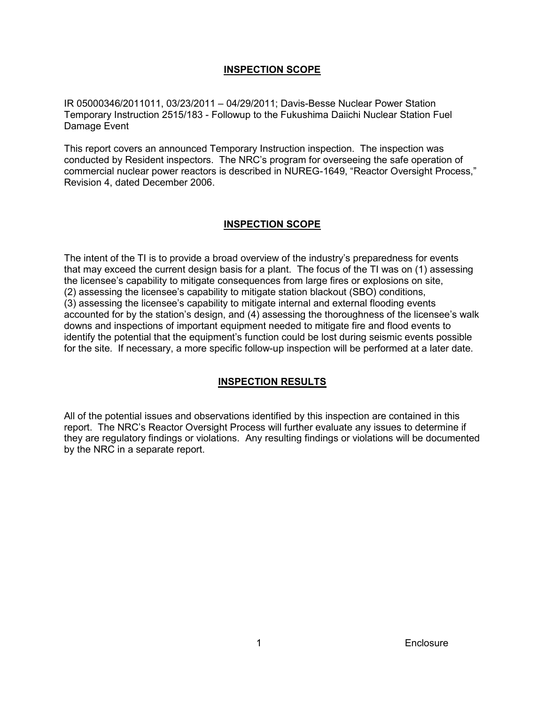## **INSPECTION SCOPE**

IR 05000346/2011011, 03/23/2011 – 04/29/2011; Davis-Besse Nuclear Power Station Temporary Instruction 2515/183 - Followup to the Fukushima Daiichi Nuclear Station Fuel Damage Event

This report covers an announced Temporary Instruction inspection. The inspection was conducted by Resident inspectors. The NRC's program for overseeing the safe operation of commercial nuclear power reactors is described in NUREG-1649, "Reactor Oversight Process," Revision 4, dated December 2006.

## **INSPECTION SCOPE**

The intent of the TI is to provide a broad overview of the industry's preparedness for events that may exceed the current design basis for a plant. The focus of the TI was on (1) assessing the licensee's capability to mitigate consequences from large fires or explosions on site, (2) assessing the licensee's capability to mitigate station blackout (SBO) conditions, (3) assessing the licensee's capability to mitigate internal and external flooding events accounted for by the station's design, and (4) assessing the thoroughness of the licensee's walk downs and inspections of important equipment needed to mitigate fire and flood events to identify the potential that the equipment's function could be lost during seismic events possible for the site. If necessary, a more specific follow-up inspection will be performed at a later date.

## **INSPECTION RESULTS**

All of the potential issues and observations identified by this inspection are contained in this report. The NRC's Reactor Oversight Process will further evaluate any issues to determine if they are regulatory findings or violations. Any resulting findings or violations will be documented by the NRC in a separate report.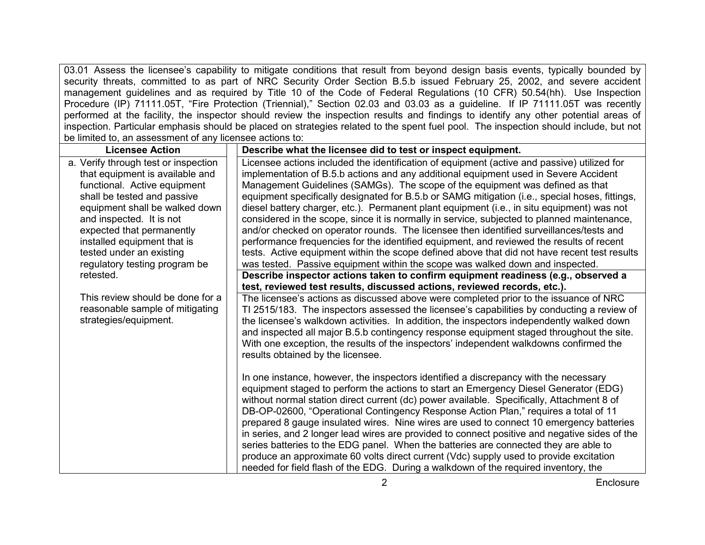03.01 Assess the licensee's capability to mitigate conditions that result from beyond design basis events, typically bounded by security threats, committed to as part of NRC Security Order Section B.5.b issued February 25, 2002, and severe accident management guidelines and as required by Title 10 of the Code of Federal Regulations (10 CFR) 50.54(hh). Use Inspection Procedure (IP) 71111.05T, "Fire Protection (Triennial)," Section 02.03 and 03.03 as a guideline. If IP 71111.05T was recently performed at the facility, the inspector should review the inspection results and findings to identify any other potential areas of inspection. Particular emphasis should be placed on strategies related to the spent fuel pool. The inspection should include, but not be limited to, an assessment of any licensee actions to:

| <b>Licensee Action</b>                                                                                                                                                                                                                                                                       | Describe what the licensee did to test or inspect equipment.                                                                                                                                                                                                                                                                                                                                                                                                                                                                                                                                                                                                                                                                                                                                                                                               |
|----------------------------------------------------------------------------------------------------------------------------------------------------------------------------------------------------------------------------------------------------------------------------------------------|------------------------------------------------------------------------------------------------------------------------------------------------------------------------------------------------------------------------------------------------------------------------------------------------------------------------------------------------------------------------------------------------------------------------------------------------------------------------------------------------------------------------------------------------------------------------------------------------------------------------------------------------------------------------------------------------------------------------------------------------------------------------------------------------------------------------------------------------------------|
| a. Verify through test or inspection<br>that equipment is available and<br>functional. Active equipment<br>shall be tested and passive<br>equipment shall be walked down<br>and inspected. It is not<br>expected that permanently<br>installed equipment that is<br>tested under an existing | Licensee actions included the identification of equipment (active and passive) utilized for<br>implementation of B.5.b actions and any additional equipment used in Severe Accident<br>Management Guidelines (SAMGs). The scope of the equipment was defined as that<br>equipment specifically designated for B.5.b or SAMG mitigation (i.e., special hoses, fittings,<br>diesel battery charger, etc.). Permanent plant equipment (i.e., in situ equipment) was not<br>considered in the scope, since it is normally in service, subjected to planned maintenance,<br>and/or checked on operator rounds. The licensee then identified surveillances/tests and<br>performance frequencies for the identified equipment, and reviewed the results of recent<br>tests. Active equipment within the scope defined above that did not have recent test results |
| regulatory testing program be                                                                                                                                                                                                                                                                | was tested. Passive equipment within the scope was walked down and inspected.                                                                                                                                                                                                                                                                                                                                                                                                                                                                                                                                                                                                                                                                                                                                                                              |
| retested.                                                                                                                                                                                                                                                                                    | Describe inspector actions taken to confirm equipment readiness (e.g., observed a                                                                                                                                                                                                                                                                                                                                                                                                                                                                                                                                                                                                                                                                                                                                                                          |
|                                                                                                                                                                                                                                                                                              | test, reviewed test results, discussed actions, reviewed records, etc.).                                                                                                                                                                                                                                                                                                                                                                                                                                                                                                                                                                                                                                                                                                                                                                                   |
| This review should be done for a<br>reasonable sample of mitigating<br>strategies/equipment.                                                                                                                                                                                                 | The licensee's actions as discussed above were completed prior to the issuance of NRC<br>TI 2515/183. The inspectors assessed the licensee's capabilities by conducting a review of<br>the licensee's walkdown activities. In addition, the inspectors independently walked down<br>and inspected all major B.5.b contingency response equipment staged throughout the site.<br>With one exception, the results of the inspectors' independent walkdowns confirmed the<br>results obtained by the licensee.                                                                                                                                                                                                                                                                                                                                                |
|                                                                                                                                                                                                                                                                                              | In one instance, however, the inspectors identified a discrepancy with the necessary<br>equipment staged to perform the actions to start an Emergency Diesel Generator (EDG)<br>without normal station direct current (dc) power available. Specifically, Attachment 8 of<br>DB-OP-02600, "Operational Contingency Response Action Plan," requires a total of 11<br>prepared 8 gauge insulated wires. Nine wires are used to connect 10 emergency batteries<br>in series, and 2 longer lead wires are provided to connect positive and negative sides of the<br>series batteries to the EDG panel. When the batteries are connected they are able to<br>produce an approximate 60 volts direct current (Vdc) supply used to provide excitation<br>needed for field flash of the EDG. During a walkdown of the required inventory, the                      |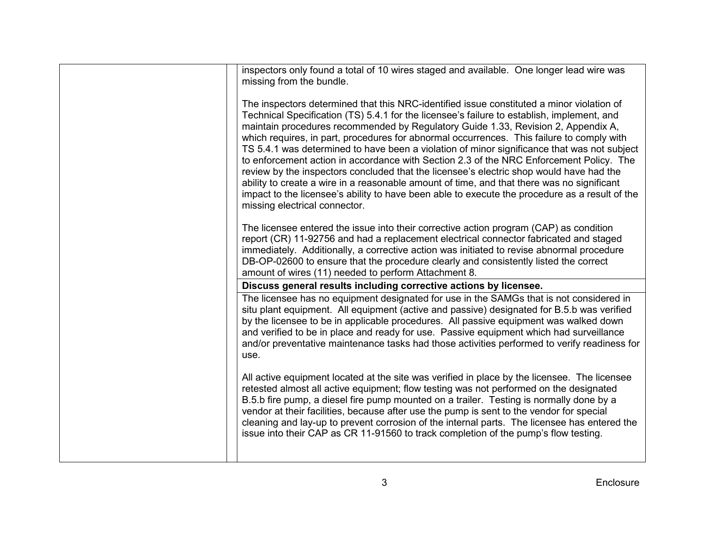| inspectors only found a total of 10 wires staged and available. One longer lead wire was<br>missing from the bundle.                                                                                                                                                                                                                                                                                                                                                                                                                                                                                                                                                                                                                                                                                                                                                                            |
|-------------------------------------------------------------------------------------------------------------------------------------------------------------------------------------------------------------------------------------------------------------------------------------------------------------------------------------------------------------------------------------------------------------------------------------------------------------------------------------------------------------------------------------------------------------------------------------------------------------------------------------------------------------------------------------------------------------------------------------------------------------------------------------------------------------------------------------------------------------------------------------------------|
| The inspectors determined that this NRC-identified issue constituted a minor violation of<br>Technical Specification (TS) 5.4.1 for the licensee's failure to establish, implement, and<br>maintain procedures recommended by Regulatory Guide 1.33, Revision 2, Appendix A,<br>which requires, in part, procedures for abnormal occurrences. This failure to comply with<br>TS 5.4.1 was determined to have been a violation of minor significance that was not subject<br>to enforcement action in accordance with Section 2.3 of the NRC Enforcement Policy. The<br>review by the inspectors concluded that the licensee's electric shop would have had the<br>ability to create a wire in a reasonable amount of time, and that there was no significant<br>impact to the licensee's ability to have been able to execute the procedure as a result of the<br>missing electrical connector. |
| The licensee entered the issue into their corrective action program (CAP) as condition<br>report (CR) 11-92756 and had a replacement electrical connector fabricated and staged<br>immediately. Additionally, a corrective action was initiated to revise abnormal procedure<br>DB-OP-02600 to ensure that the procedure clearly and consistently listed the correct<br>amount of wires (11) needed to perform Attachment 8.                                                                                                                                                                                                                                                                                                                                                                                                                                                                    |
| Discuss general results including corrective actions by licensee.                                                                                                                                                                                                                                                                                                                                                                                                                                                                                                                                                                                                                                                                                                                                                                                                                               |
| The licensee has no equipment designated for use in the SAMGs that is not considered in<br>situ plant equipment. All equipment (active and passive) designated for B.5.b was verified<br>by the licensee to be in applicable procedures. All passive equipment was walked down<br>and verified to be in place and ready for use. Passive equipment which had surveillance<br>and/or preventative maintenance tasks had those activities performed to verify readiness for<br>use.                                                                                                                                                                                                                                                                                                                                                                                                               |
| All active equipment located at the site was verified in place by the licensee. The licensee<br>retested almost all active equipment; flow testing was not performed on the designated<br>B.5.b fire pump, a diesel fire pump mounted on a trailer. Testing is normally done by a<br>vendor at their facilities, because after use the pump is sent to the vendor for special<br>cleaning and lay-up to prevent corrosion of the internal parts. The licensee has entered the<br>issue into their CAP as CR 11-91560 to track completion of the pump's flow testing.                                                                                                                                                                                                                                                                                                                            |
|                                                                                                                                                                                                                                                                                                                                                                                                                                                                                                                                                                                                                                                                                                                                                                                                                                                                                                 |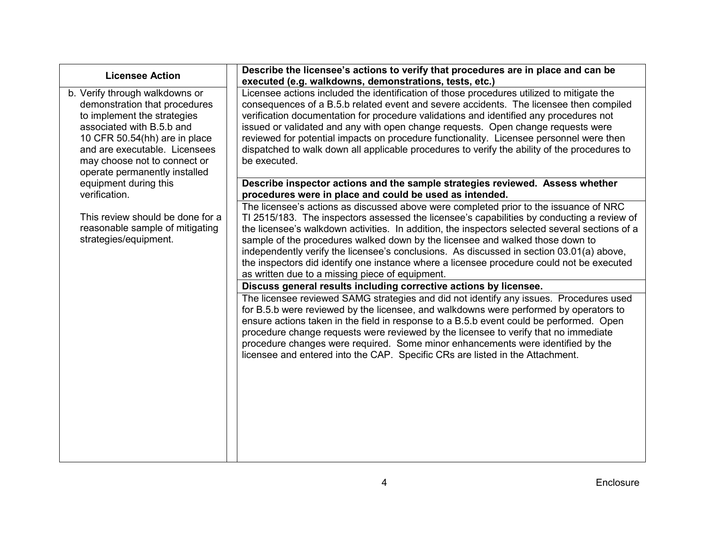| <b>Licensee Action</b>                                                                                                                                                                                                                                         | Describe the licensee's actions to verify that procedures are in place and can be                                                                                                                                                                                                                                                                                                                                                                                                                                                                                                                                  |
|----------------------------------------------------------------------------------------------------------------------------------------------------------------------------------------------------------------------------------------------------------------|--------------------------------------------------------------------------------------------------------------------------------------------------------------------------------------------------------------------------------------------------------------------------------------------------------------------------------------------------------------------------------------------------------------------------------------------------------------------------------------------------------------------------------------------------------------------------------------------------------------------|
|                                                                                                                                                                                                                                                                | executed (e.g. walkdowns, demonstrations, tests, etc.)                                                                                                                                                                                                                                                                                                                                                                                                                                                                                                                                                             |
| b. Verify through walkdowns or<br>demonstration that procedures<br>to implement the strategies<br>associated with B.5.b and<br>10 CFR 50.54(hh) are in place<br>and are executable. Licensees<br>may choose not to connect or<br>operate permanently installed | Licensee actions included the identification of those procedures utilized to mitigate the<br>consequences of a B.5.b related event and severe accidents. The licensee then compiled<br>verification documentation for procedure validations and identified any procedures not<br>issued or validated and any with open change requests. Open change requests were<br>reviewed for potential impacts on procedure functionality. Licensee personnel were then<br>dispatched to walk down all applicable procedures to verify the ability of the procedures to<br>be executed.                                       |
| equipment during this                                                                                                                                                                                                                                          | Describe inspector actions and the sample strategies reviewed. Assess whether                                                                                                                                                                                                                                                                                                                                                                                                                                                                                                                                      |
| verification.                                                                                                                                                                                                                                                  | procedures were in place and could be used as intended.                                                                                                                                                                                                                                                                                                                                                                                                                                                                                                                                                            |
| This review should be done for a<br>reasonable sample of mitigating<br>strategies/equipment.                                                                                                                                                                   | The licensee's actions as discussed above were completed prior to the issuance of NRC<br>TI 2515/183. The inspectors assessed the licensee's capabilities by conducting a review of<br>the licensee's walkdown activities. In addition, the inspectors selected several sections of a<br>sample of the procedures walked down by the licensee and walked those down to<br>independently verify the licensee's conclusions. As discussed in section 03.01(a) above,<br>the inspectors did identify one instance where a licensee procedure could not be executed<br>as written due to a missing piece of equipment. |
|                                                                                                                                                                                                                                                                | Discuss general results including corrective actions by licensee.                                                                                                                                                                                                                                                                                                                                                                                                                                                                                                                                                  |
|                                                                                                                                                                                                                                                                | The licensee reviewed SAMG strategies and did not identify any issues. Procedures used<br>for B.5.b were reviewed by the licensee, and walkdowns were performed by operators to<br>ensure actions taken in the field in response to a B.5.b event could be performed. Open<br>procedure change requests were reviewed by the licensee to verify that no immediate<br>procedure changes were required. Some minor enhancements were identified by the<br>licensee and entered into the CAP. Specific CRs are listed in the Attachment.                                                                              |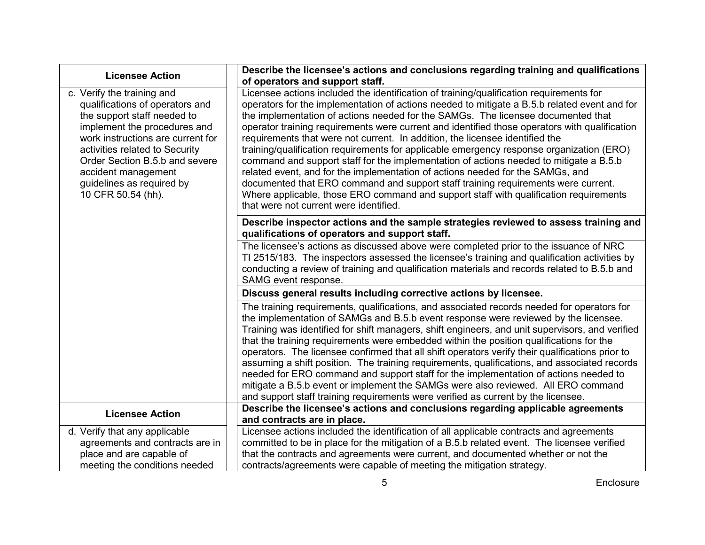| <b>Licensee Action</b>                                                                                                                                                                                                                                                                                          | Describe the licensee's actions and conclusions regarding training and qualifications<br>of operators and support staff.                                                                                                                                                                                                                                                                                                                                                                                                                                                                                                                                                                                                                                                                                                                                                                                                                                     |
|-----------------------------------------------------------------------------------------------------------------------------------------------------------------------------------------------------------------------------------------------------------------------------------------------------------------|--------------------------------------------------------------------------------------------------------------------------------------------------------------------------------------------------------------------------------------------------------------------------------------------------------------------------------------------------------------------------------------------------------------------------------------------------------------------------------------------------------------------------------------------------------------------------------------------------------------------------------------------------------------------------------------------------------------------------------------------------------------------------------------------------------------------------------------------------------------------------------------------------------------------------------------------------------------|
| c. Verify the training and<br>qualifications of operators and<br>the support staff needed to<br>implement the procedures and<br>work instructions are current for<br>activities related to Security<br>Order Section B.5.b and severe<br>accident management<br>guidelines as required by<br>10 CFR 50.54 (hh). | Licensee actions included the identification of training/qualification requirements for<br>operators for the implementation of actions needed to mitigate a B.5.b related event and for<br>the implementation of actions needed for the SAMGs. The licensee documented that<br>operator training requirements were current and identified those operators with qualification<br>requirements that were not current. In addition, the licensee identified the<br>training/qualification requirements for applicable emergency response organization (ERO)<br>command and support staff for the implementation of actions needed to mitigate a B.5.b<br>related event, and for the implementation of actions needed for the SAMGs, and<br>documented that ERO command and support staff training requirements were current.<br>Where applicable, those ERO command and support staff with qualification requirements<br>that were not current were identified. |
|                                                                                                                                                                                                                                                                                                                 | Describe inspector actions and the sample strategies reviewed to assess training and<br>qualifications of operators and support staff.                                                                                                                                                                                                                                                                                                                                                                                                                                                                                                                                                                                                                                                                                                                                                                                                                       |
|                                                                                                                                                                                                                                                                                                                 | The licensee's actions as discussed above were completed prior to the issuance of NRC<br>TI 2515/183. The inspectors assessed the licensee's training and qualification activities by<br>conducting a review of training and qualification materials and records related to B.5.b and<br>SAMG event response.                                                                                                                                                                                                                                                                                                                                                                                                                                                                                                                                                                                                                                                |
|                                                                                                                                                                                                                                                                                                                 | Discuss general results including corrective actions by licensee.                                                                                                                                                                                                                                                                                                                                                                                                                                                                                                                                                                                                                                                                                                                                                                                                                                                                                            |
|                                                                                                                                                                                                                                                                                                                 | The training requirements, qualifications, and associated records needed for operators for<br>the implementation of SAMGs and B.5.b event response were reviewed by the licensee.<br>Training was identified for shift managers, shift engineers, and unit supervisors, and verified<br>that the training requirements were embedded within the position qualifications for the<br>operators. The licensee confirmed that all shift operators verify their qualifications prior to<br>assuming a shift position. The training requirements, qualifications, and associated records<br>needed for ERO command and support staff for the implementation of actions needed to<br>mitigate a B.5.b event or implement the SAMGs were also reviewed. All ERO command<br>and support staff training requirements were verified as current by the licensee.                                                                                                         |
| <b>Licensee Action</b>                                                                                                                                                                                                                                                                                          | Describe the licensee's actions and conclusions regarding applicable agreements<br>and contracts are in place.                                                                                                                                                                                                                                                                                                                                                                                                                                                                                                                                                                                                                                                                                                                                                                                                                                               |
| d. Verify that any applicable                                                                                                                                                                                                                                                                                   | Licensee actions included the identification of all applicable contracts and agreements                                                                                                                                                                                                                                                                                                                                                                                                                                                                                                                                                                                                                                                                                                                                                                                                                                                                      |
| agreements and contracts are in                                                                                                                                                                                                                                                                                 | committed to be in place for the mitigation of a B.5.b related event. The licensee verified                                                                                                                                                                                                                                                                                                                                                                                                                                                                                                                                                                                                                                                                                                                                                                                                                                                                  |
| place and are capable of                                                                                                                                                                                                                                                                                        | that the contracts and agreements were current, and documented whether or not the                                                                                                                                                                                                                                                                                                                                                                                                                                                                                                                                                                                                                                                                                                                                                                                                                                                                            |
| meeting the conditions needed                                                                                                                                                                                                                                                                                   | contracts/agreements were capable of meeting the mitigation strategy.                                                                                                                                                                                                                                                                                                                                                                                                                                                                                                                                                                                                                                                                                                                                                                                                                                                                                        |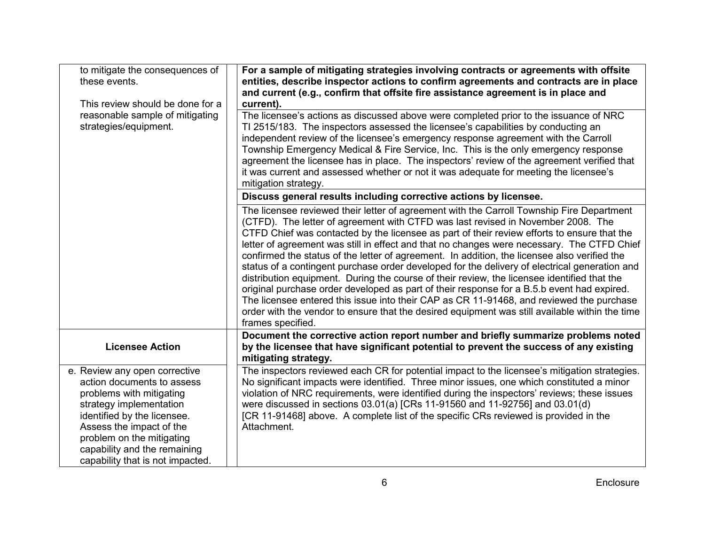| to mitigate the consequences of<br>these events.<br>This review should be done for a<br>reasonable sample of mitigating                                                                                                                                                        | For a sample of mitigating strategies involving contracts or agreements with offsite<br>entities, describe inspector actions to confirm agreements and contracts are in place<br>and current (e.g., confirm that offsite fire assistance agreement is in place and<br>current).<br>The licensee's actions as discussed above were completed prior to the issuance of NRC                                                                                                                                                                                                                                                                                                                                                                                                                                                                                                                                                                                                                    |
|--------------------------------------------------------------------------------------------------------------------------------------------------------------------------------------------------------------------------------------------------------------------------------|---------------------------------------------------------------------------------------------------------------------------------------------------------------------------------------------------------------------------------------------------------------------------------------------------------------------------------------------------------------------------------------------------------------------------------------------------------------------------------------------------------------------------------------------------------------------------------------------------------------------------------------------------------------------------------------------------------------------------------------------------------------------------------------------------------------------------------------------------------------------------------------------------------------------------------------------------------------------------------------------|
| strategies/equipment.                                                                                                                                                                                                                                                          | TI 2515/183. The inspectors assessed the licensee's capabilities by conducting an<br>independent review of the licensee's emergency response agreement with the Carroll<br>Township Emergency Medical & Fire Service, Inc. This is the only emergency response<br>agreement the licensee has in place. The inspectors' review of the agreement verified that<br>it was current and assessed whether or not it was adequate for meeting the licensee's<br>mitigation strategy.                                                                                                                                                                                                                                                                                                                                                                                                                                                                                                               |
|                                                                                                                                                                                                                                                                                | Discuss general results including corrective actions by licensee.                                                                                                                                                                                                                                                                                                                                                                                                                                                                                                                                                                                                                                                                                                                                                                                                                                                                                                                           |
|                                                                                                                                                                                                                                                                                | The licensee reviewed their letter of agreement with the Carroll Township Fire Department<br>(CTFD). The letter of agreement with CTFD was last revised in November 2008. The<br>CTFD Chief was contacted by the licensee as part of their review efforts to ensure that the<br>letter of agreement was still in effect and that no changes were necessary. The CTFD Chief<br>confirmed the status of the letter of agreement. In addition, the licensee also verified the<br>status of a contingent purchase order developed for the delivery of electrical generation and<br>distribution equipment. During the course of their review, the licensee identified that the<br>original purchase order developed as part of their response for a B.5.b event had expired.<br>The licensee entered this issue into their CAP as CR 11-91468, and reviewed the purchase<br>order with the vendor to ensure that the desired equipment was still available within the time<br>frames specified. |
| <b>Licensee Action</b>                                                                                                                                                                                                                                                         | Document the corrective action report number and briefly summarize problems noted<br>by the licensee that have significant potential to prevent the success of any existing<br>mitigating strategy.                                                                                                                                                                                                                                                                                                                                                                                                                                                                                                                                                                                                                                                                                                                                                                                         |
| e. Review any open corrective<br>action documents to assess<br>problems with mitigating<br>strategy implementation<br>identified by the licensee.<br>Assess the impact of the<br>problem on the mitigating<br>capability and the remaining<br>capability that is not impacted. | The inspectors reviewed each CR for potential impact to the licensee's mitigation strategies.<br>No significant impacts were identified. Three minor issues, one which constituted a minor<br>violation of NRC requirements, were identified during the inspectors' reviews; these issues<br>were discussed in sections 03.01(a) [CRs 11-91560 and 11-92756] and 03.01(d)<br>[CR 11-91468] above. A complete list of the specific CRs reviewed is provided in the<br>Attachment.                                                                                                                                                                                                                                                                                                                                                                                                                                                                                                            |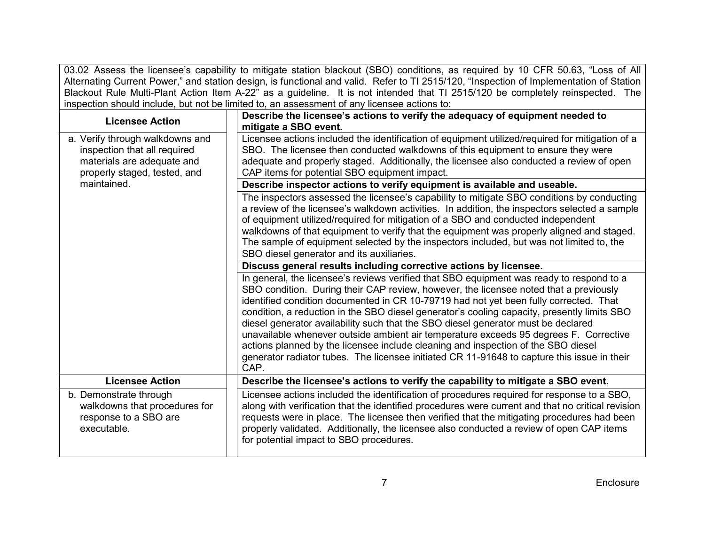03.02 Assess the licensee's capability to mitigate station blackout (SBO) conditions, as required by 10 CFR 50.63, "Loss of All Alternating Current Power," and station design, is functional and valid. Refer to TI 2515/120, "Inspection of Implementation of Station Blackout Rule Multi-Plant Action Item A-22" as a guideline. It is not intended that TI 2515/120 be completely reinspected. The inspection should include, but not be limited to, an assessment of any licensee actions to:

| <b>Licensee Action</b>                                                                                                        | Describe the licensee's actions to verify the adequacy of equipment needed to                                                                                                                                                                                                                                                                                                                                                                                                                                                                                                                                                                                                                                                                       |
|-------------------------------------------------------------------------------------------------------------------------------|-----------------------------------------------------------------------------------------------------------------------------------------------------------------------------------------------------------------------------------------------------------------------------------------------------------------------------------------------------------------------------------------------------------------------------------------------------------------------------------------------------------------------------------------------------------------------------------------------------------------------------------------------------------------------------------------------------------------------------------------------------|
|                                                                                                                               | mitigate a SBO event.                                                                                                                                                                                                                                                                                                                                                                                                                                                                                                                                                                                                                                                                                                                               |
| a. Verify through walkdowns and<br>inspection that all required<br>materials are adequate and<br>properly staged, tested, and | Licensee actions included the identification of equipment utilized/required for mitigation of a<br>SBO. The licensee then conducted walkdowns of this equipment to ensure they were<br>adequate and properly staged. Additionally, the licensee also conducted a review of open<br>CAP items for potential SBO equipment impact.                                                                                                                                                                                                                                                                                                                                                                                                                    |
| maintained.                                                                                                                   | Describe inspector actions to verify equipment is available and useable.                                                                                                                                                                                                                                                                                                                                                                                                                                                                                                                                                                                                                                                                            |
|                                                                                                                               | The inspectors assessed the licensee's capability to mitigate SBO conditions by conducting<br>a review of the licensee's walkdown activities. In addition, the inspectors selected a sample<br>of equipment utilized/required for mitigation of a SBO and conducted independent<br>walkdowns of that equipment to verify that the equipment was properly aligned and staged.<br>The sample of equipment selected by the inspectors included, but was not limited to, the<br>SBO diesel generator and its auxiliaries.                                                                                                                                                                                                                               |
|                                                                                                                               | Discuss general results including corrective actions by licensee.                                                                                                                                                                                                                                                                                                                                                                                                                                                                                                                                                                                                                                                                                   |
|                                                                                                                               | In general, the licensee's reviews verified that SBO equipment was ready to respond to a<br>SBO condition. During their CAP review, however, the licensee noted that a previously<br>identified condition documented in CR 10-79719 had not yet been fully corrected. That<br>condition, a reduction in the SBO diesel generator's cooling capacity, presently limits SBO<br>diesel generator availability such that the SBO diesel generator must be declared<br>unavailable whenever outside ambient air temperature exceeds 95 degrees F. Corrective<br>actions planned by the licensee include cleaning and inspection of the SBO diesel<br>generator radiator tubes. The licensee initiated CR 11-91648 to capture this issue in their<br>CAP. |
| <b>Licensee Action</b>                                                                                                        | Describe the licensee's actions to verify the capability to mitigate a SBO event.                                                                                                                                                                                                                                                                                                                                                                                                                                                                                                                                                                                                                                                                   |
| b. Demonstrate through<br>walkdowns that procedures for<br>response to a SBO are<br>executable.                               | Licensee actions included the identification of procedures required for response to a SBO,<br>along with verification that the identified procedures were current and that no critical revision<br>requests were in place. The licensee then verified that the mitigating procedures had been<br>properly validated. Additionally, the licensee also conducted a review of open CAP items<br>for potential impact to SBO procedures.                                                                                                                                                                                                                                                                                                                |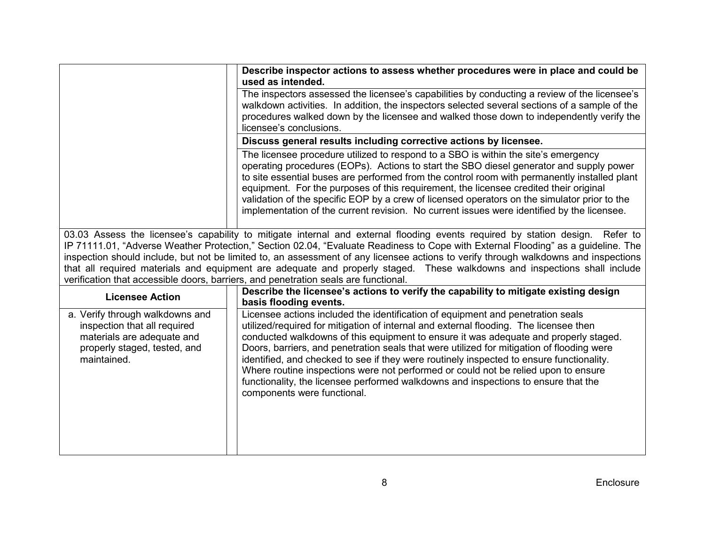|                                                                                                                                              | Describe inspector actions to assess whether procedures were in place and could be<br>used as intended.                                                                                                                                                                                                                                                                                                                                                                                                                                                                                                                                                              |
|----------------------------------------------------------------------------------------------------------------------------------------------|----------------------------------------------------------------------------------------------------------------------------------------------------------------------------------------------------------------------------------------------------------------------------------------------------------------------------------------------------------------------------------------------------------------------------------------------------------------------------------------------------------------------------------------------------------------------------------------------------------------------------------------------------------------------|
|                                                                                                                                              | The inspectors assessed the licensee's capabilities by conducting a review of the licensee's<br>walkdown activities. In addition, the inspectors selected several sections of a sample of the<br>procedures walked down by the licensee and walked those down to independently verify the<br>licensee's conclusions.                                                                                                                                                                                                                                                                                                                                                 |
|                                                                                                                                              | Discuss general results including corrective actions by licensee.                                                                                                                                                                                                                                                                                                                                                                                                                                                                                                                                                                                                    |
|                                                                                                                                              | The licensee procedure utilized to respond to a SBO is within the site's emergency<br>operating procedures (EOPs). Actions to start the SBO diesel generator and supply power<br>to site essential buses are performed from the control room with permanently installed plant<br>equipment. For the purposes of this requirement, the licensee credited their original<br>validation of the specific EOP by a crew of licensed operators on the simulator prior to the<br>implementation of the current revision. No current issues were identified by the licensee.                                                                                                 |
|                                                                                                                                              | 03.03 Assess the licensee's capability to mitigate internal and external flooding events required by station design. Refer to<br>IP 71111.01, "Adverse Weather Protection," Section 02.04, "Evaluate Readiness to Cope with External Flooding" as a guideline. The<br>inspection should include, but not be limited to, an assessment of any licensee actions to verify through walkdowns and inspections<br>that all required materials and equipment are adequate and properly staged. These walkdowns and inspections shall include<br>verification that accessible doors, barriers, and penetration seals are functional.                                        |
| <b>Licensee Action</b>                                                                                                                       | Describe the licensee's actions to verify the capability to mitigate existing design<br>basis flooding events.                                                                                                                                                                                                                                                                                                                                                                                                                                                                                                                                                       |
| a. Verify through walkdowns and<br>inspection that all required<br>materials are adequate and<br>properly staged, tested, and<br>maintained. | Licensee actions included the identification of equipment and penetration seals<br>utilized/required for mitigation of internal and external flooding. The licensee then<br>conducted walkdowns of this equipment to ensure it was adequate and properly staged.<br>Doors, barriers, and penetration seals that were utilized for mitigation of flooding were<br>identified, and checked to see if they were routinely inspected to ensure functionality.<br>Where routine inspections were not performed or could not be relied upon to ensure<br>functionality, the licensee performed walkdowns and inspections to ensure that the<br>components were functional. |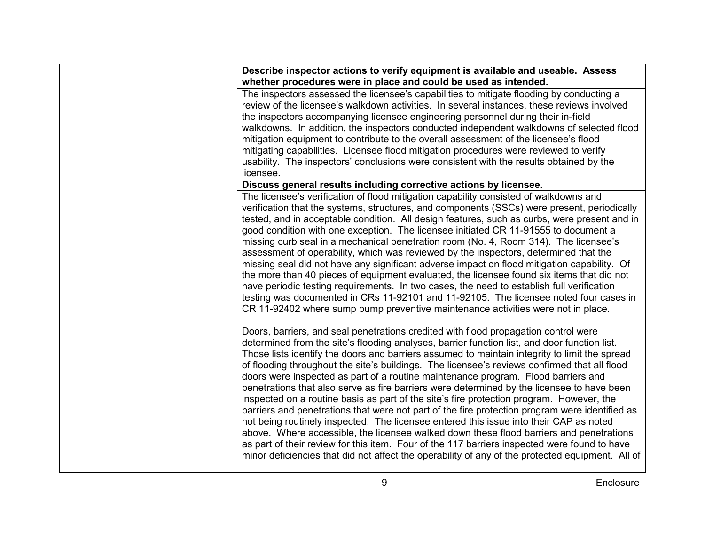| Describe inspector actions to verify equipment is available and useable. Assess<br>whether procedures were in place and could be used as intended.                                                                                                                                                                                                                                                                                                                                                                                                                                                                                                                                                                                                                                                                                                                                                                                                                                                                                                                                                                                                             |
|----------------------------------------------------------------------------------------------------------------------------------------------------------------------------------------------------------------------------------------------------------------------------------------------------------------------------------------------------------------------------------------------------------------------------------------------------------------------------------------------------------------------------------------------------------------------------------------------------------------------------------------------------------------------------------------------------------------------------------------------------------------------------------------------------------------------------------------------------------------------------------------------------------------------------------------------------------------------------------------------------------------------------------------------------------------------------------------------------------------------------------------------------------------|
| The inspectors assessed the licensee's capabilities to mitigate flooding by conducting a<br>review of the licensee's walkdown activities. In several instances, these reviews involved<br>the inspectors accompanying licensee engineering personnel during their in-field<br>walkdowns. In addition, the inspectors conducted independent walkdowns of selected flood<br>mitigation equipment to contribute to the overall assessment of the licensee's flood<br>mitigating capabilities. Licensee flood mitigation procedures were reviewed to verify<br>usability. The inspectors' conclusions were consistent with the results obtained by the<br>licensee.                                                                                                                                                                                                                                                                                                                                                                                                                                                                                                |
| Discuss general results including corrective actions by licensee.                                                                                                                                                                                                                                                                                                                                                                                                                                                                                                                                                                                                                                                                                                                                                                                                                                                                                                                                                                                                                                                                                              |
| The licensee's verification of flood mitigation capability consisted of walkdowns and<br>verification that the systems, structures, and components (SSCs) were present, periodically<br>tested, and in acceptable condition. All design features, such as curbs, were present and in<br>good condition with one exception. The licensee initiated CR 11-91555 to document a<br>missing curb seal in a mechanical penetration room (No. 4, Room 314). The licensee's<br>assessment of operability, which was reviewed by the inspectors, determined that the<br>missing seal did not have any significant adverse impact on flood mitigation capability. Of<br>the more than 40 pieces of equipment evaluated, the licensee found six items that did not<br>have periodic testing requirements. In two cases, the need to establish full verification<br>testing was documented in CRs 11-92101 and 11-92105. The licensee noted four cases in<br>CR 11-92402 where sump pump preventive maintenance activities were not in place.                                                                                                                              |
| Doors, barriers, and seal penetrations credited with flood propagation control were<br>determined from the site's flooding analyses, barrier function list, and door function list.<br>Those lists identify the doors and barriers assumed to maintain integrity to limit the spread<br>of flooding throughout the site's buildings. The licensee's reviews confirmed that all flood<br>doors were inspected as part of a routine maintenance program. Flood barriers and<br>penetrations that also serve as fire barriers were determined by the licensee to have been<br>inspected on a routine basis as part of the site's fire protection program. However, the<br>barriers and penetrations that were not part of the fire protection program were identified as<br>not being routinely inspected. The licensee entered this issue into their CAP as noted<br>above. Where accessible, the licensee walked down these flood barriers and penetrations<br>as part of their review for this item. Four of the 117 barriers inspected were found to have<br>minor deficiencies that did not affect the operability of any of the protected equipment. All of |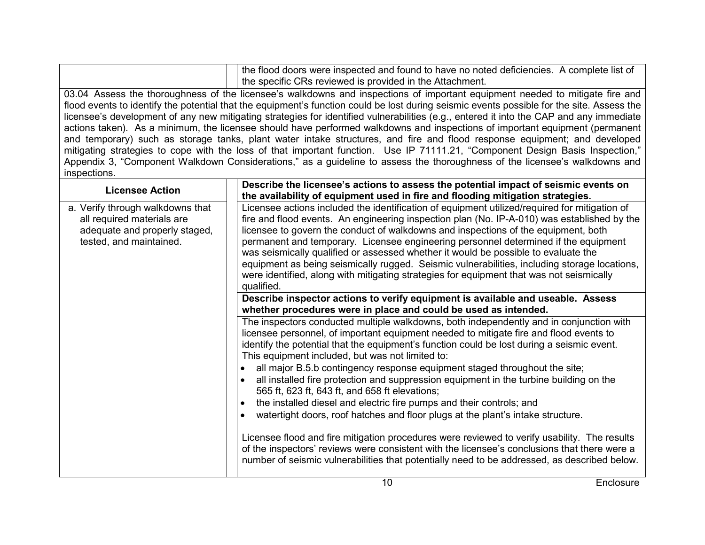| the flood doors were inspected and found to have no noted deficiencies. A complete list of<br>the specific CRs reviewed is provided in the Attachment. |
|--------------------------------------------------------------------------------------------------------------------------------------------------------|
| 03.04 Assess the thoroughness of the licensee's walkdowns and inspections of important equipment needed to mitigate fire and                           |
| flood events to identify the potential that the equipment's function could be lost during seismic events possible for the site. Assess the             |
| licensee's development of any new mitigating strategies for identified vulnerabilities (e.g., entered it into the CAP and any immediate                |
| actions taken). As a minimum, the licensee should have performed walkdowns and inspections of important equipment (permanent                           |

and temporary) such as storage tanks, plant water intake structures, and fire and flood response equipment; and developed mitigating strategies to cope with the loss of that important function. Use IP 71111.21, "Component Design Basis Inspection," Appendix 3, "Component Walkdown Considerations," as a guideline to assess the thoroughness of the licensee's walkdowns and inspections.

| <b>Licensee Action</b>                                                                                                     | Describe the licensee's actions to assess the potential impact of seismic events on<br>the availability of equipment used in fire and flooding mitigation strategies.                                                                                                                                                                                                                                                                                                                                                                                                                                                                                                                                                                                                                                                                                                                                                                                                                                                                              |
|----------------------------------------------------------------------------------------------------------------------------|----------------------------------------------------------------------------------------------------------------------------------------------------------------------------------------------------------------------------------------------------------------------------------------------------------------------------------------------------------------------------------------------------------------------------------------------------------------------------------------------------------------------------------------------------------------------------------------------------------------------------------------------------------------------------------------------------------------------------------------------------------------------------------------------------------------------------------------------------------------------------------------------------------------------------------------------------------------------------------------------------------------------------------------------------|
| a. Verify through walkdowns that<br>all required materials are<br>adequate and properly staged,<br>tested, and maintained. | Licensee actions included the identification of equipment utilized/required for mitigation of<br>fire and flood events. An engineering inspection plan (No. IP-A-010) was established by the<br>licensee to govern the conduct of walkdowns and inspections of the equipment, both<br>permanent and temporary. Licensee engineering personnel determined if the equipment<br>was seismically qualified or assessed whether it would be possible to evaluate the<br>equipment as being seismically rugged. Seismic vulnerabilities, including storage locations,<br>were identified, along with mitigating strategies for equipment that was not seismically<br>qualified.                                                                                                                                                                                                                                                                                                                                                                          |
|                                                                                                                            | Describe inspector actions to verify equipment is available and useable. Assess<br>whether procedures were in place and could be used as intended.                                                                                                                                                                                                                                                                                                                                                                                                                                                                                                                                                                                                                                                                                                                                                                                                                                                                                                 |
|                                                                                                                            | The inspectors conducted multiple walkdowns, both independently and in conjunction with<br>licensee personnel, of important equipment needed to mitigate fire and flood events to<br>identify the potential that the equipment's function could be lost during a seismic event.<br>This equipment included, but was not limited to:<br>all major B.5.b contingency response equipment staged throughout the site;<br>all installed fire protection and suppression equipment in the turbine building on the<br>$\bullet$<br>565 ft, 623 ft, 643 ft, and 658 ft elevations;<br>the installed diesel and electric fire pumps and their controls; and<br>$\bullet$<br>watertight doors, roof hatches and floor plugs at the plant's intake structure.<br>Licensee flood and fire mitigation procedures were reviewed to verify usability. The results<br>of the inspectors' reviews were consistent with the licensee's conclusions that there were a<br>number of seismic vulnerabilities that potentially need to be addressed, as described below. |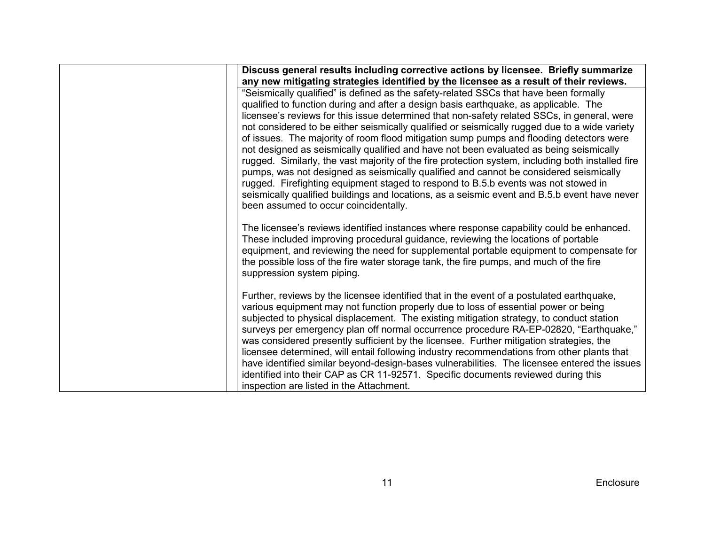| Discuss general results including corrective actions by licensee. Briefly summarize<br>any new mitigating strategies identified by the licensee as a result of their reviews.                                                                                                                                                                                                                                                                                                                                                                                                                                                                                                                                                                                                                                                                                                                                                                                                                   |
|-------------------------------------------------------------------------------------------------------------------------------------------------------------------------------------------------------------------------------------------------------------------------------------------------------------------------------------------------------------------------------------------------------------------------------------------------------------------------------------------------------------------------------------------------------------------------------------------------------------------------------------------------------------------------------------------------------------------------------------------------------------------------------------------------------------------------------------------------------------------------------------------------------------------------------------------------------------------------------------------------|
| "Seismically qualified" is defined as the safety-related SSCs that have been formally<br>qualified to function during and after a design basis earthquake, as applicable. The<br>licensee's reviews for this issue determined that non-safety related SSCs, in general, were<br>not considered to be either seismically qualified or seismically rugged due to a wide variety<br>of issues. The majority of room flood mitigation sump pumps and flooding detectors were<br>not designed as seismically qualified and have not been evaluated as being seismically<br>rugged. Similarly, the vast majority of the fire protection system, including both installed fire<br>pumps, was not designed as seismically qualified and cannot be considered seismically<br>rugged. Firefighting equipment staged to respond to B.5.b events was not stowed in<br>seismically qualified buildings and locations, as a seismic event and B.5.b event have never<br>been assumed to occur coincidentally. |
| The licensee's reviews identified instances where response capability could be enhanced.<br>These included improving procedural guidance, reviewing the locations of portable<br>equipment, and reviewing the need for supplemental portable equipment to compensate for<br>the possible loss of the fire water storage tank, the fire pumps, and much of the fire<br>suppression system piping.                                                                                                                                                                                                                                                                                                                                                                                                                                                                                                                                                                                                |
| Further, reviews by the licensee identified that in the event of a postulated earthquake,<br>various equipment may not function properly due to loss of essential power or being<br>subjected to physical displacement. The existing mitigation strategy, to conduct station<br>surveys per emergency plan off normal occurrence procedure RA-EP-02820, "Earthquake,"<br>was considered presently sufficient by the licensee. Further mitigation strategies, the<br>licensee determined, will entail following industry recommendations from other plants that<br>have identified similar beyond-design-bases vulnerabilities. The licensee entered the issues<br>identified into their CAP as CR 11-92571. Specific documents reviewed during this<br>inspection are listed in the Attachment.                                                                                                                                                                                                 |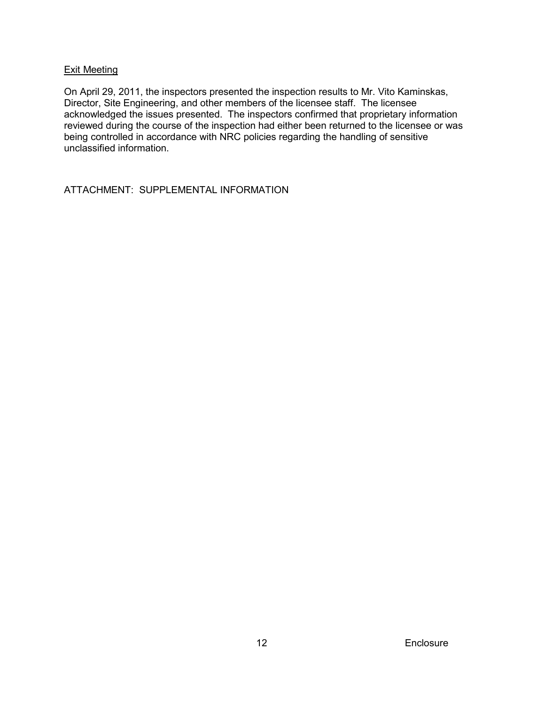## Exit Meeting

On April 29, 2011, the inspectors presented the inspection results to Mr. Vito Kaminskas, Director, Site Engineering, and other members of the licensee staff. The licensee acknowledged the issues presented. The inspectors confirmed that proprietary information reviewed during the course of the inspection had either been returned to the licensee or was being controlled in accordance with NRC policies regarding the handling of sensitive unclassified information.

ATTACHMENT: SUPPLEMENTAL INFORMATION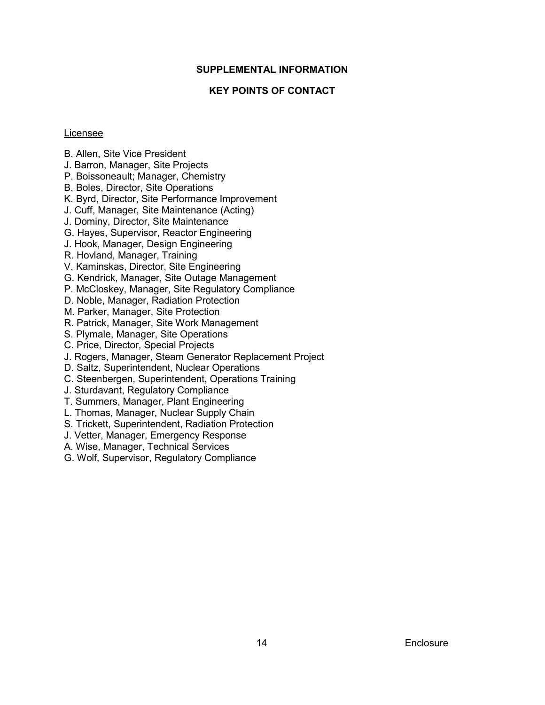### **SUPPLEMENTAL INFORMATION**

## **KEY POINTS OF CONTACT**

#### Licensee

- B. Allen, Site Vice President
- J. Barron, Manager, Site Projects
- P. Boissoneault; Manager, Chemistry
- B. Boles, Director, Site Operations
- K. Byrd, Director, Site Performance Improvement
- J. Cuff, Manager, Site Maintenance (Acting)
- J. Dominy, Director, Site Maintenance
- G. Hayes, Supervisor, Reactor Engineering
- J. Hook, Manager, Design Engineering
- R. Hovland, Manager, Training
- V. Kaminskas, Director, Site Engineering
- G. Kendrick, Manager, Site Outage Management
- P. McCloskey, Manager, Site Regulatory Compliance
- D. Noble, Manager, Radiation Protection
- M. Parker, Manager, Site Protection
- R. Patrick, Manager, Site Work Management
- S. Plymale, Manager, Site Operations
- C. Price, Director, Special Projects
- J. Rogers, Manager, Steam Generator Replacement Project
- D. Saltz, Superintendent, Nuclear Operations
- C. Steenbergen, Superintendent, Operations Training
- J. Sturdavant, Regulatory Compliance
- T. Summers, Manager, Plant Engineering
- L. Thomas, Manager, Nuclear Supply Chain
- S. Trickett, Superintendent, Radiation Protection
- J. Vetter, Manager, Emergency Response
- A. Wise, Manager, Technical Services
- G. Wolf, Supervisor, Regulatory Compliance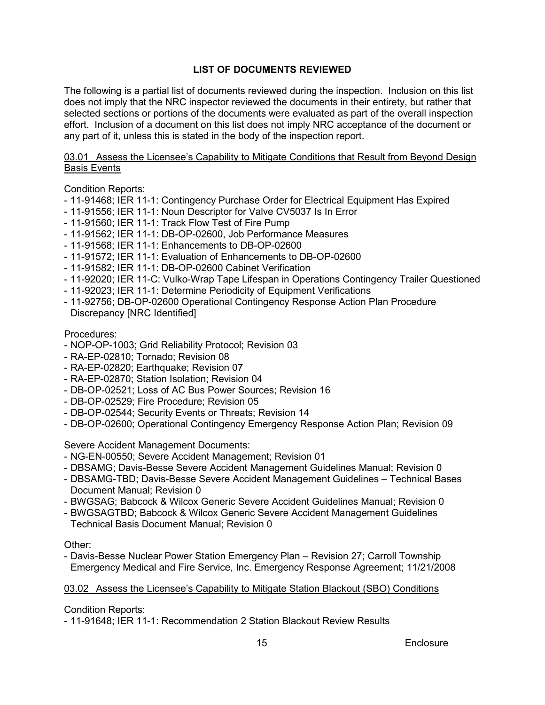## **LIST OF DOCUMENTS REVIEWED**

The following is a partial list of documents reviewed during the inspection. Inclusion on this list does not imply that the NRC inspector reviewed the documents in their entirety, but rather that selected sections or portions of the documents were evaluated as part of the overall inspection effort. Inclusion of a document on this list does not imply NRC acceptance of the document or any part of it, unless this is stated in the body of the inspection report.

## 03.01 Assess the Licensee's Capability to Mitigate Conditions that Result from Beyond Design Basis Events

Condition Reports:

- 11-91468; IER 11-1: Contingency Purchase Order for Electrical Equipment Has Expired
- 11-91556; IER 11-1: Noun Descriptor for Valve CV5037 Is In Error
- 11-91560; IER 11-1: Track Flow Test of Fire Pump
- 11-91562; IER 11-1: DB-OP-02600, Job Performance Measures
- 11-91568; IER 11-1: Enhancements to DB-OP-02600
- 11-91572; IER 11-1: Evaluation of Enhancements to DB-OP-02600
- 11-91582; IER 11-1: DB-OP-02600 Cabinet Verification
- 11-92020; IER 11-C: Vulko-Wrap Tape Lifespan in Operations Contingency Trailer Questioned
- 11-92023; IER 11-1: Determine Periodicity of Equipment Verifications
- 11-92756; DB-OP-02600 Operational Contingency Response Action Plan Procedure Discrepancy [NRC Identified]

#### Procedures:

- NOP-OP-1003; Grid Reliability Protocol; Revision 03
- RA-EP-02810; Tornado; Revision 08
- RA-EP-02820; Earthquake; Revision 07
- RA-EP-02870; Station Isolation; Revision 04
- DB-OP-02521; Loss of AC Bus Power Sources; Revision 16
- DB-OP-02529; Fire Procedure; Revision 05
- DB-OP-02544; Security Events or Threats; Revision 14
- DB-OP-02600; Operational Contingency Emergency Response Action Plan; Revision 09

Severe Accident Management Documents:

- NG-EN-00550; Severe Accident Management; Revision 01
- DBSAMG; Davis-Besse Severe Accident Management Guidelines Manual; Revision 0
- DBSAMG-TBD; Davis-Besse Severe Accident Management Guidelines Technical Bases Document Manual; Revision 0
- BWGSAG; Babcock & Wilcox Generic Severe Accident Guidelines Manual; Revision 0
- BWGSAGTBD; Babcock & Wilcox Generic Severe Accident Management Guidelines Technical Basis Document Manual; Revision 0

Other:

- Davis-Besse Nuclear Power Station Emergency Plan – Revision 27; Carroll Township Emergency Medical and Fire Service, Inc. Emergency Response Agreement; 11/21/2008

#### 03.02 Assess the Licensee's Capability to Mitigate Station Blackout (SBO) Conditions

Condition Reports:

- 11-91648; IER 11-1: Recommendation 2 Station Blackout Review Results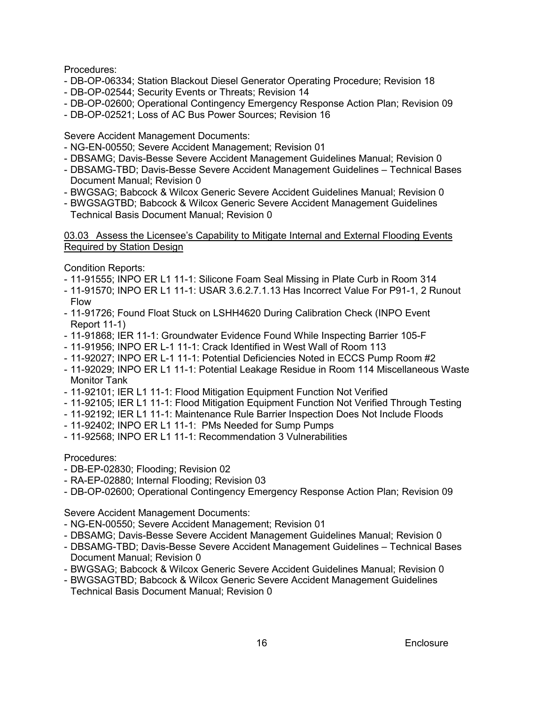Procedures:

- DB-OP-06334; Station Blackout Diesel Generator Operating Procedure; Revision 18
- DB-OP-02544; Security Events or Threats; Revision 14
- DB-OP-02600; Operational Contingency Emergency Response Action Plan; Revision 09
- DB-OP-02521; Loss of AC Bus Power Sources; Revision 16

Severe Accident Management Documents:

- NG-EN-00550; Severe Accident Management; Revision 01
- DBSAMG; Davis-Besse Severe Accident Management Guidelines Manual; Revision 0
- DBSAMG-TBD; Davis-Besse Severe Accident Management Guidelines Technical Bases Document Manual; Revision 0
- BWGSAG; Babcock & Wilcox Generic Severe Accident Guidelines Manual; Revision 0
- BWGSAGTBD; Babcock & Wilcox Generic Severe Accident Management Guidelines Technical Basis Document Manual; Revision 0

## 03.03 Assess the Licensee's Capability to Mitigate Internal and External Flooding Events Required by Station Design

Condition Reports:

- 11-91555; INPO ER L1 11-1: Silicone Foam Seal Missing in Plate Curb in Room 314
- 11-91570; INPO ER L1 11-1: USAR 3.6.2.7.1.13 Has Incorrect Value For P91-1, 2 Runout Flow
- 11-91726; Found Float Stuck on LSHH4620 During Calibration Check (INPO Event Report 11-1)
- 11-91868; IER 11-1: Groundwater Evidence Found While Inspecting Barrier 105-F
- 11-91956; INPO ER L-1 11-1: Crack Identified in West Wall of Room 113
- 11-92027; INPO ER L-1 11-1: Potential Deficiencies Noted in ECCS Pump Room #2
- 11-92029; INPO ER L1 11-1: Potential Leakage Residue in Room 114 Miscellaneous Waste Monitor Tank
- 11-92101; IER L1 11-1: Flood Mitigation Equipment Function Not Verified
- 11-92105; IER L1 11-1: Flood Mitigation Equipment Function Not Verified Through Testing
- 11-92192; IER L1 11-1: Maintenance Rule Barrier Inspection Does Not Include Floods
- 11-92402; INPO ER L1 11-1: PMs Needed for Sump Pumps
- 11-92568; INPO ER L1 11-1: Recommendation 3 Vulnerabilities

Procedures:

- DB-EP-02830; Flooding; Revision 02
- RA-EP-02880; Internal Flooding; Revision 03

- DB-OP-02600; Operational Contingency Emergency Response Action Plan; Revision 09

Severe Accident Management Documents:

- NG-EN-00550; Severe Accident Management; Revision 01
- DBSAMG; Davis-Besse Severe Accident Management Guidelines Manual; Revision 0
- DBSAMG-TBD; Davis-Besse Severe Accident Management Guidelines Technical Bases Document Manual; Revision 0
- BWGSAG; Babcock & Wilcox Generic Severe Accident Guidelines Manual; Revision 0
- BWGSAGTBD; Babcock & Wilcox Generic Severe Accident Management Guidelines Technical Basis Document Manual; Revision 0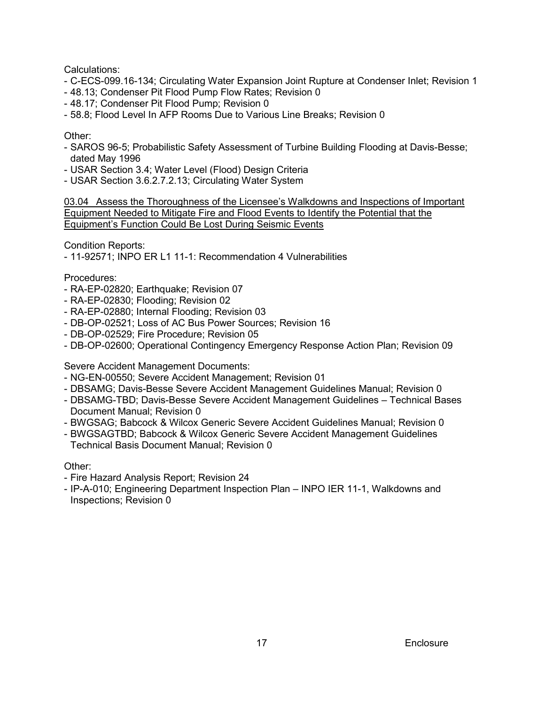Calculations:

- C-ECS-099.16-134; Circulating Water Expansion Joint Rupture at Condenser Inlet; Revision 1
- 48.13; Condenser Pit Flood Pump Flow Rates; Revision 0
- 48.17; Condenser Pit Flood Pump; Revision 0
- 58.8; Flood Level In AFP Rooms Due to Various Line Breaks; Revision 0

## Other:

- SAROS 96-5; Probabilistic Safety Assessment of Turbine Building Flooding at Davis-Besse; dated May 1996
- USAR Section 3.4; Water Level (Flood) Design Criteria
- USAR Section 3.6.2.7.2.13; Circulating Water System

03.04 Assess the Thoroughness of the Licensee's Walkdowns and Inspections of Important Equipment Needed to Mitigate Fire and Flood Events to Identify the Potential that the Equipment's Function Could Be Lost During Seismic Events

Condition Reports:

- 11-92571; INPO ER L1 11-1: Recommendation 4 Vulnerabilities

Procedures:

- RA-EP-02820; Earthquake; Revision 07
- RA-EP-02830; Flooding; Revision 02
- RA-EP-02880; Internal Flooding; Revision 03
- DB-OP-02521; Loss of AC Bus Power Sources; Revision 16
- DB-OP-02529; Fire Procedure; Revision 05
- DB-OP-02600; Operational Contingency Emergency Response Action Plan; Revision 09

Severe Accident Management Documents:

- NG-EN-00550; Severe Accident Management; Revision 01
- DBSAMG; Davis-Besse Severe Accident Management Guidelines Manual; Revision 0
- DBSAMG-TBD; Davis-Besse Severe Accident Management Guidelines Technical Bases Document Manual; Revision 0
- BWGSAG; Babcock & Wilcox Generic Severe Accident Guidelines Manual; Revision 0
- BWGSAGTBD; Babcock & Wilcox Generic Severe Accident Management Guidelines Technical Basis Document Manual; Revision 0

Other:

- Fire Hazard Analysis Report; Revision 24
- IP-A-010; Engineering Department Inspection Plan INPO IER 11-1, Walkdowns and Inspections; Revision 0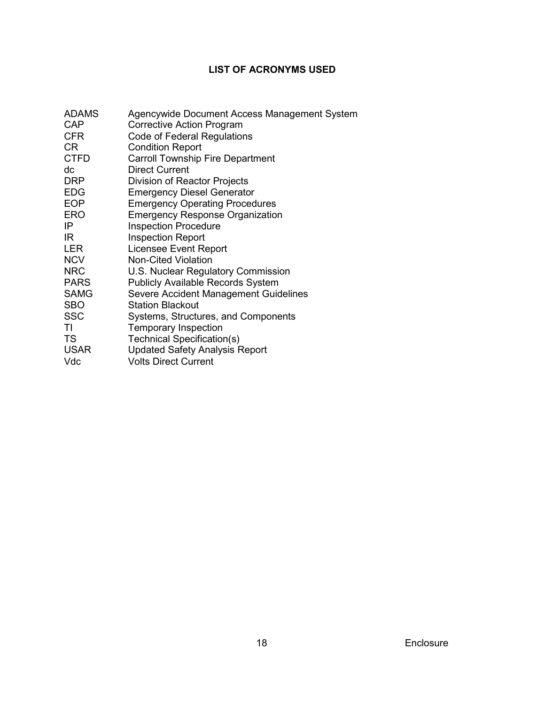# **LIST OF ACRONYMS USED**

| <b>ADAMS</b><br><b>CAP</b><br><b>CFR</b><br>CR | Agencywide Document Access Management System<br><b>Corrective Action Program</b><br>Code of Federal Regulations<br><b>Condition Report</b> |
|------------------------------------------------|--------------------------------------------------------------------------------------------------------------------------------------------|
| <b>CTFD</b>                                    | <b>Carroll Township Fire Department</b>                                                                                                    |
| dc                                             | <b>Direct Current</b>                                                                                                                      |
| <b>DRP</b>                                     | Division of Reactor Projects                                                                                                               |
| <b>EDG</b>                                     | <b>Emergency Diesel Generator</b>                                                                                                          |
| <b>EOP</b>                                     | <b>Emergency Operating Procedures</b>                                                                                                      |
| <b>ERO</b>                                     | <b>Emergency Response Organization</b>                                                                                                     |
| IP                                             | <b>Inspection Procedure</b>                                                                                                                |
| IR                                             | <b>Inspection Report</b>                                                                                                                   |
| LER                                            | Licensee Event Report                                                                                                                      |
| <b>NCV</b>                                     | <b>Non-Cited Violation</b>                                                                                                                 |
| <b>NRC</b>                                     | U.S. Nuclear Regulatory Commission                                                                                                         |
| <b>PARS</b>                                    | <b>Publicly Available Records System</b>                                                                                                   |
| <b>SAMG</b>                                    | Severe Accident Management Guidelines                                                                                                      |
| <b>SBO</b>                                     | <b>Station Blackout</b>                                                                                                                    |
| <b>SSC</b>                                     | Systems, Structures, and Components                                                                                                        |
| ΤI                                             | <b>Temporary Inspection</b>                                                                                                                |
| <b>TS</b>                                      | <b>Technical Specification(s)</b>                                                                                                          |
| <b>USAR</b>                                    | <b>Updated Safety Analysis Report</b>                                                                                                      |
| Vdc                                            | <b>Volts Direct Current</b>                                                                                                                |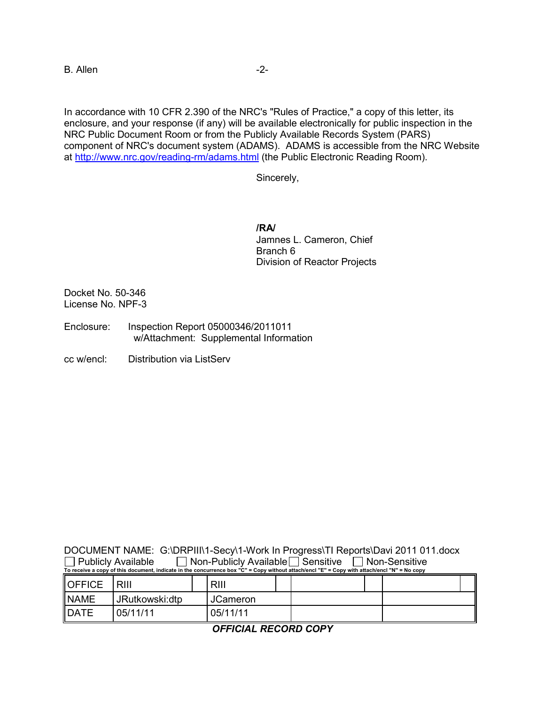B. Allen -2-

In accordance with 10 CFR 2.390 of the NRC's "Rules of Practice," a copy of this letter, its enclosure, and your response (if any) will be available electronically for public inspection in the NRC Public Document Room or from the Publicly Available Records System (PARS) component of NRC's document system (ADAMS). ADAMS is accessible from the NRC Website at [http://www.nrc.gov/reading-rm/adams.html](http://www.nrc.gov/readingrm/adams.html) (the Public Electronic Reading Room).

Sincerely,

**/RA/** Jamnes L. Cameron, Chief Branch 6 Division of Reactor Projects

Docket No. 50-346 License No. NPF-3

- Enclosure: Inspection Report 05000346/2011011 w/Attachment: Supplemental Information
- cc w/encl: Distribution via ListServ

|                                                                                                                                              | DOCUMENT NAME: G:\DRPIII\1-Secy\1-Work In Progress\TI Reports\Davi 2011 011.docx |  |  |  |  |  |  |
|----------------------------------------------------------------------------------------------------------------------------------------------|----------------------------------------------------------------------------------|--|--|--|--|--|--|
| $\Box$ Publicly Available                                                                                                                    | $\Box$ Non-Publicly Available $\Box$ Sensitive $\Box$ Non-Sensitive              |  |  |  |  |  |  |
| To receive a copy of this document, indicate in the concurrence box "C" = Copy without attach/encl "E" = Copy with attach/encl "N" = No copy |                                                                                  |  |  |  |  |  |  |

| <b>OFFICE</b> | RIII           | RIII     |  |  |  |
|---------------|----------------|----------|--|--|--|
| <b>NAME</b>   | JRutkowski:dtp | JCameron |  |  |  |
| <b>DATE</b>   | 05/11/11       | 05/11/11 |  |  |  |

*OFFICIAL RECORD COPY*